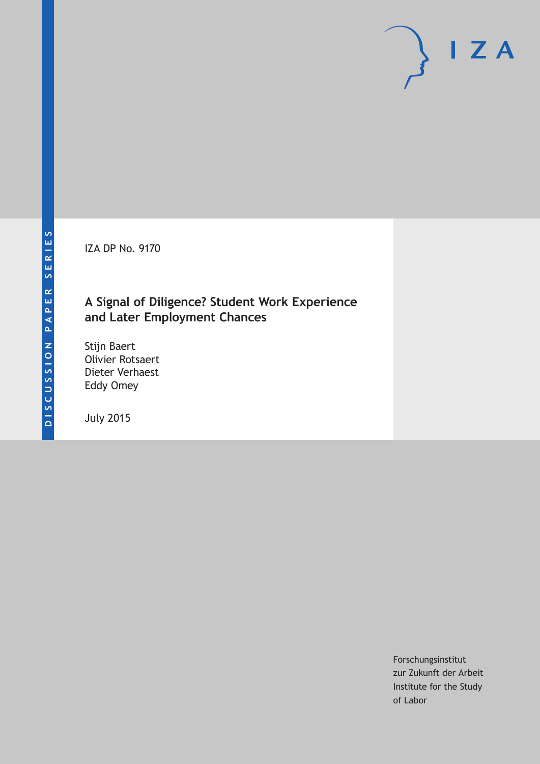IZA DP No. 9170

## **A Signal of Diligence? Student Work Experience and Later Employment Chances**

Stijn Baert Olivier Rotsaert Dieter Verhaest Eddy Omey

July 2015

Forschungsinstitut zur Zukunft der Arbeit Institute for the Study of Labor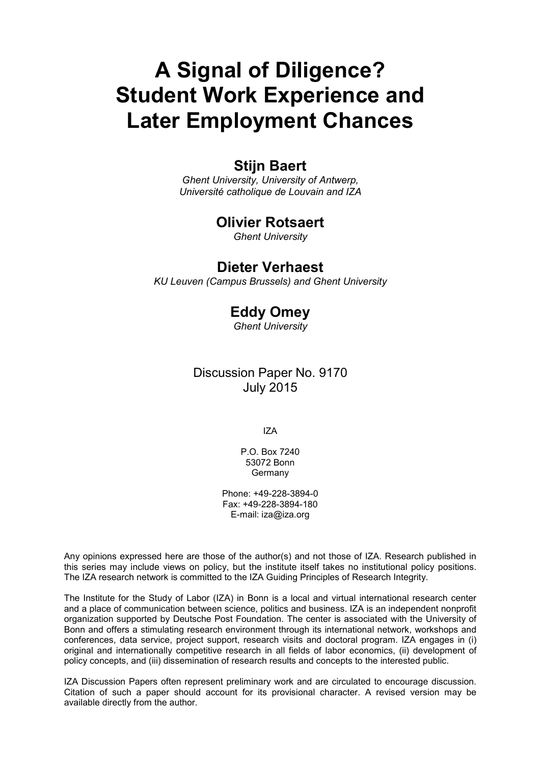# **A Signal of Diligence? Student Work Experience and Later Employment Chances**

### **Stijn Baert**

*Ghent University, University of Antwerp, Université catholique de Louvain and IZA*

### **Olivier Rotsaert**

*Ghent University*

### **Dieter Verhaest**

*KU Leuven (Campus Brussels) and Ghent University*

# **Eddy Omey**

*Ghent University*

Discussion Paper No. 9170 July 2015

IZA

P.O. Box 7240 53072 Bonn Germany

Phone: +49-228-3894-0 Fax: +49-228-3894-180 E-mail: iza@iza.org

Any opinions expressed here are those of the author(s) and not those of IZA. Research published in this series may include views on policy, but the institute itself takes no institutional policy positions. The IZA research network is committed to the IZA Guiding Principles of Research Integrity.

The Institute for the Study of Labor (IZA) in Bonn is a local and virtual international research center and a place of communication between science, politics and business. IZA is an independent nonprofit organization supported by Deutsche Post Foundation. The center is associated with the University of Bonn and offers a stimulating research environment through its international network, workshops and conferences, data service, project support, research visits and doctoral program. IZA engages in (i) original and internationally competitive research in all fields of labor economics, (ii) development of policy concepts, and (iii) dissemination of research results and concepts to the interested public.

IZA Discussion Papers often represent preliminary work and are circulated to encourage discussion. Citation of such a paper should account for its provisional character. A revised version may be available directly from the author.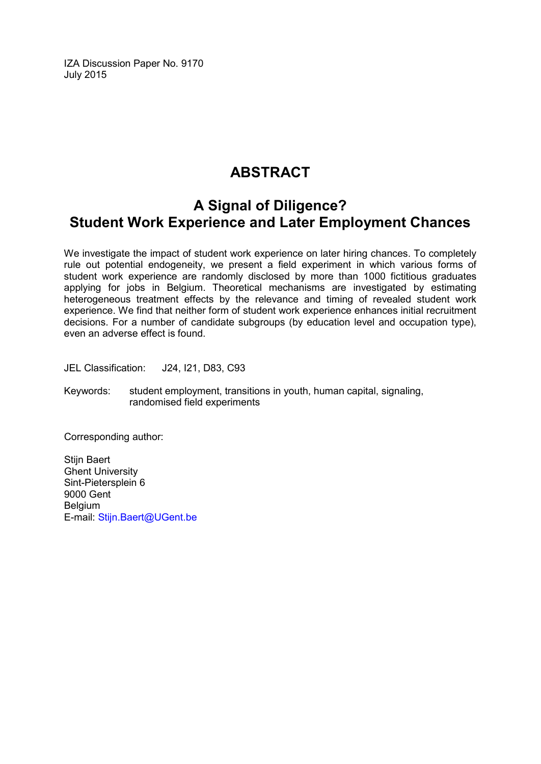IZA Discussion Paper No. 9170 July 2015

# **ABSTRACT**

# **A Signal of Diligence? Student Work Experience and Later Employment Chances**

We investigate the impact of student work experience on later hiring chances. To completely rule out potential endogeneity, we present a field experiment in which various forms of student work experience are randomly disclosed by more than 1000 fictitious graduates applying for jobs in Belgium. Theoretical mechanisms are investigated by estimating heterogeneous treatment effects by the relevance and timing of revealed student work experience. We find that neither form of student work experience enhances initial recruitment decisions. For a number of candidate subgroups (by education level and occupation type), even an adverse effect is found.

JEL Classification: J24, I21, D83, C93

Keywords: student employment, transitions in youth, human capital, signaling, randomised field experiments

Corresponding author:

Stijn Baert Ghent University Sint-Pietersplein 6 9000 Gent **Belgium** E-mail: [Stijn.Baert@UGent.be](mailto:Stijn.Baert@UGent.be)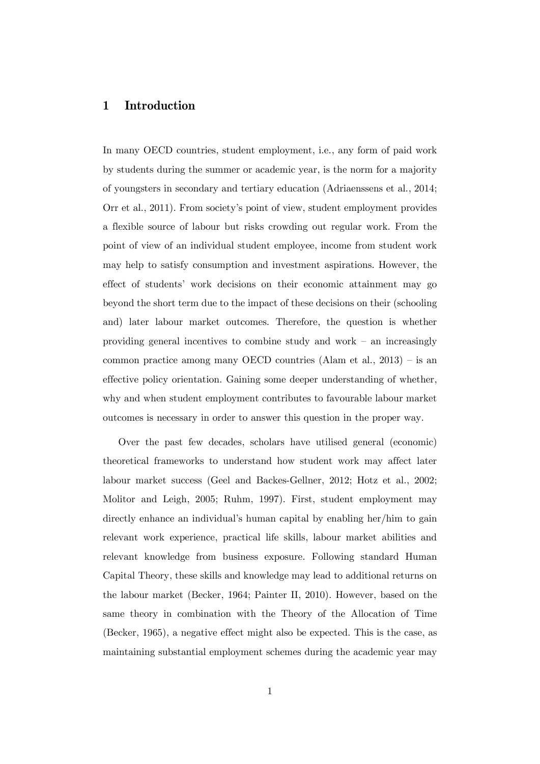#### **1 Introduction**

In many OECD countries, student employment, i.e., any form of paid work by students during the summer or academic year, is the norm for a majority of youngsters in secondary and tertiary education (Adriaenssens et al., 2014; Orr et al., 2011). From society's point of view, student employment provides a flexible source of labour but risks crowding out regular work. From the point of view of an individual student employee, income from student work may help to satisfy consumption and investment aspirations. However, the effect of students' work decisions on their economic attainment may go beyond the short term due to the impact of these decisions on their (schooling and) later labour market outcomes. Therefore, the question is whether providing general incentives to combine study and work – an increasingly common practice among many OECD countries (Alam et al., 2013) – is an effective policy orientation. Gaining some deeper understanding of whether, why and when student employment contributes to favourable labour market outcomes is necessary in order to answer this question in the proper way.

Over the past few decades, scholars have utilised general (economic) theoretical frameworks to understand how student work may affect later labour market success (Geel and Backes-Gellner, 2012; Hotz et al., 2002; Molitor and Leigh, 2005; Ruhm, 1997). First, student employment may directly enhance an individual's human capital by enabling her/him to gain relevant work experience, practical life skills, labour market abilities and relevant knowledge from business exposure. Following standard Human Capital Theory, these skills and knowledge may lead to additional returns on the labour market (Becker, 1964; Painter II, 2010). However, based on the same theory in combination with the Theory of the Allocation of Time (Becker, 1965), a negative effect might also be expected. This is the case, as maintaining substantial employment schemes during the academic year may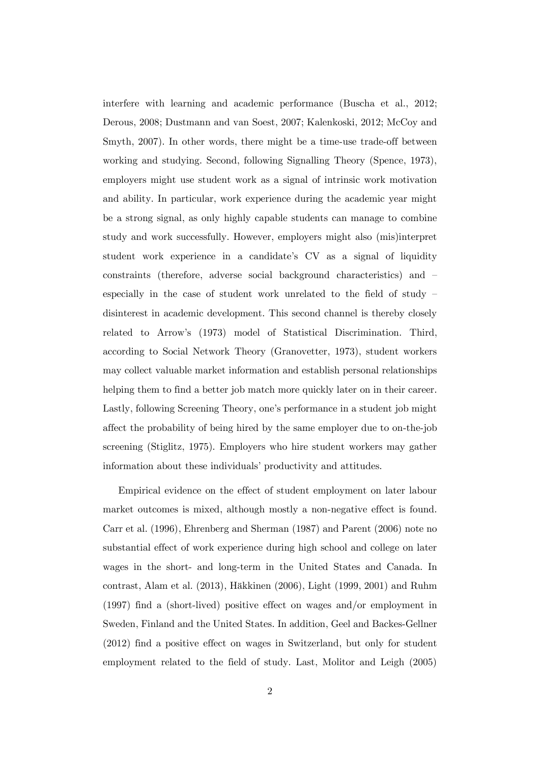interfere with learning and academic performance (Buscha et al., 2012; Derous, 2008; Dustmann and van Soest, 2007; Kalenkoski, 2012; McCoy and Smyth, 2007). In other words, there might be a time-use trade-off between working and studying. Second, following Signalling Theory (Spence, 1973), employers might use student work as a signal of intrinsic work motivation and ability. In particular, work experience during the academic year might be a strong signal, as only highly capable students can manage to combine study and work successfully. However, employers might also (mis)interpret student work experience in a candidate's CV as a signal of liquidity constraints (therefore, adverse social background characteristics) and – especially in the case of student work unrelated to the field of study – disinterest in academic development. This second channel is thereby closely related to Arrow's (1973) model of Statistical Discrimination. Third, according to Social Network Theory (Granovetter, 1973), student workers may collect valuable market information and establish personal relationships helping them to find a better job match more quickly later on in their career. Lastly, following Screening Theory, one's performance in a student job might affect the probability of being hired by the same employer due to on-the-job screening (Stiglitz, 1975). Employers who hire student workers may gather information about these individuals' productivity and attitudes.

Empirical evidence on the effect of student employment on later labour market outcomes is mixed, although mostly a non-negative effect is found. Carr et al. (1996), Ehrenberg and Sherman (1987) and Parent (2006) note no substantial effect of work experience during high school and college on later wages in the short- and long-term in the United States and Canada. In contrast, Alam et al. (2013), Häkkinen (2006), Light (1999, 2001) and Ruhm (1997) find a (short-lived) positive effect on wages and/or employment in Sweden, Finland and the United States. In addition, Geel and Backes-Gellner (2012) find a positive effect on wages in Switzerland, but only for student employment related to the field of study. Last, Molitor and Leigh (2005)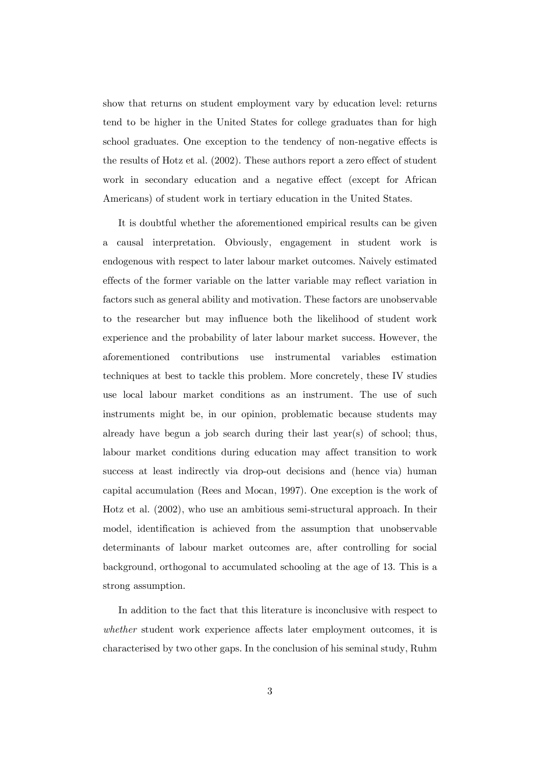show that returns on student employment vary by education level: returns tend to be higher in the United States for college graduates than for high school graduates. One exception to the tendency of non-negative effects is the results of Hotz et al. (2002). These authors report a zero effect of student work in secondary education and a negative effect (except for African Americans) of student work in tertiary education in the United States.

It is doubtful whether the aforementioned empirical results can be given a causal interpretation. Obviously, engagement in student work is endogenous with respect to later labour market outcomes. Naively estimated effects of the former variable on the latter variable may reflect variation in factors such as general ability and motivation. These factors are unobservable to the researcher but may influence both the likelihood of student work experience and the probability of later labour market success. However, the aforementioned contributions use instrumental variables estimation techniques at best to tackle this problem. More concretely, these IV studies use local labour market conditions as an instrument. The use of such instruments might be, in our opinion, problematic because students may already have begun a job search during their last year(s) of school; thus, labour market conditions during education may affect transition to work success at least indirectly via drop-out decisions and (hence via) human capital accumulation (Rees and Mocan, 1997). One exception is the work of Hotz et al. (2002), who use an ambitious semi-structural approach. In their model, identification is achieved from the assumption that unobservable determinants of labour market outcomes are, after controlling for social background, orthogonal to accumulated schooling at the age of 13. This is a strong assumption.

In addition to the fact that this literature is inconclusive with respect to *whether* student work experience affects later employment outcomes, it is characterised by two other gaps. In the conclusion of his seminal study, Ruhm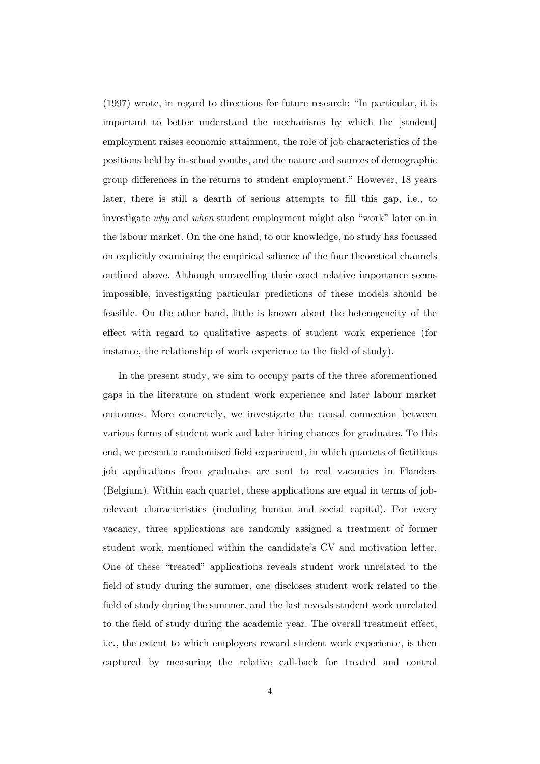(1997) wrote, in regard to directions for future research: "In particular, it is important to better understand the mechanisms by which the [student] employment raises economic attainment, the role of job characteristics of the positions held by in-school youths, and the nature and sources of demographic group differences in the returns to student employment." However, 18 years later, there is still a dearth of serious attempts to fill this gap, i.e., to investigate *why* and *when* student employment might also "work" later on in the labour market. On the one hand, to our knowledge, no study has focussed on explicitly examining the empirical salience of the four theoretical channels outlined above. Although unravelling their exact relative importance seems impossible, investigating particular predictions of these models should be feasible. On the other hand, little is known about the heterogeneity of the effect with regard to qualitative aspects of student work experience (for instance, the relationship of work experience to the field of study).

In the present study, we aim to occupy parts of the three aforementioned gaps in the literature on student work experience and later labour market outcomes. More concretely, we investigate the causal connection between various forms of student work and later hiring chances for graduates. To this end, we present a randomised field experiment, in which quartets of fictitious job applications from graduates are sent to real vacancies in Flanders (Belgium). Within each quartet, these applications are equal in terms of jobrelevant characteristics (including human and social capital). For every vacancy, three applications are randomly assigned a treatment of former student work, mentioned within the candidate's CV and motivation letter. One of these "treated" applications reveals student work unrelated to the field of study during the summer, one discloses student work related to the field of study during the summer, and the last reveals student work unrelated to the field of study during the academic year. The overall treatment effect, i.e., the extent to which employers reward student work experience, is then captured by measuring the relative call-back for treated and control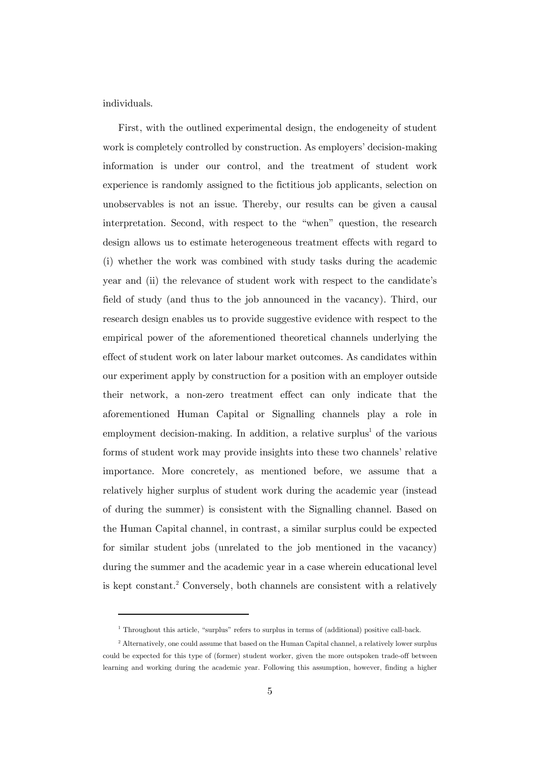individuals.

-

First, with the outlined experimental design, the endogeneity of student work is completely controlled by construction. As employers' decision-making information is under our control, and the treatment of student work experience is randomly assigned to the fictitious job applicants, selection on unobservables is not an issue. Thereby, our results can be given a causal interpretation. Second, with respect to the "when" question, the research design allows us to estimate heterogeneous treatment effects with regard to (i) whether the work was combined with study tasks during the academic year and (ii) the relevance of student work with respect to the candidate's field of study (and thus to the job announced in the vacancy). Third, our research design enables us to provide suggestive evidence with respect to the empirical power of the aforementioned theoretical channels underlying the effect of student work on later labour market outcomes. As candidates within our experiment apply by construction for a position with an employer outside their network, a non-zero treatment effect can only indicate that the aforementioned Human Capital or Signalling channels play a role in employment decision-making. In addition, a relative surplus<sup>1</sup> of the various forms of student work may provide insights into these two channels' relative importance. More concretely, as mentioned before, we assume that a relatively higher surplus of student work during the academic year (instead of during the summer) is consistent with the Signalling channel. Based on the Human Capital channel, in contrast, a similar surplus could be expected for similar student jobs (unrelated to the job mentioned in the vacancy) during the summer and the academic year in a case wherein educational level is kept constant. <sup>2</sup> Conversely, both channels are consistent with a relatively

<sup>&</sup>lt;sup>1</sup> Throughout this article, "surplus" refers to surplus in terms of (additional) positive call-back.

<sup>2</sup> Alternatively, one could assume that based on the Human Capital channel, a relatively lower surplus could be expected for this type of (former) student worker, given the more outspoken trade-off between learning and working during the academic year. Following this assumption, however, finding a higher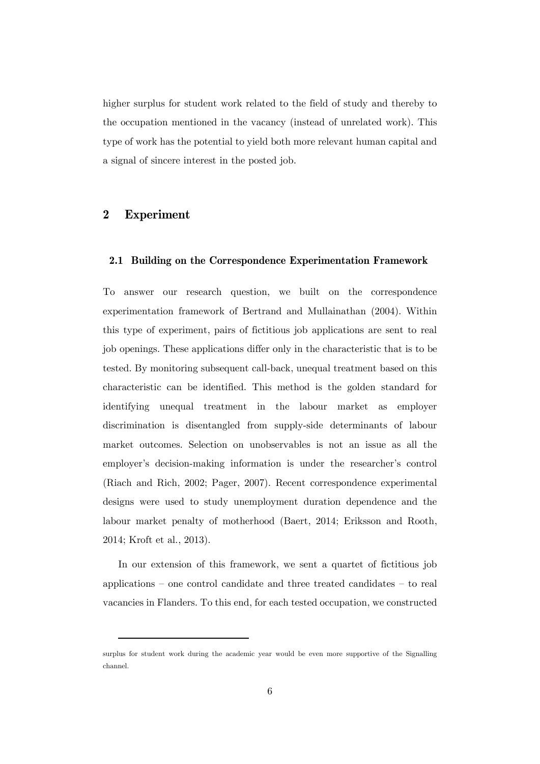higher surplus for student work related to the field of study and thereby to the occupation mentioned in the vacancy (instead of unrelated work). This type of work has the potential to yield both more relevant human capital and a signal of sincere interest in the posted job.

#### **2 Experiment**

-

#### **2.1 Building on the Correspondence Experimentation Framework**

To answer our research question, we built on the correspondence experimentation framework of Bertrand and Mullainathan (2004). Within this type of experiment, pairs of fictitious job applications are sent to real job openings. These applications differ only in the characteristic that is to be tested. By monitoring subsequent call-back, unequal treatment based on this characteristic can be identified. This method is the golden standard for identifying unequal treatment in the labour market as employer discrimination is disentangled from supply-side determinants of labour market outcomes. Selection on unobservables is not an issue as all the employer's decision-making information is under the researcher's control (Riach and Rich, 2002; Pager, 2007). Recent correspondence experimental designs were used to study unemployment duration dependence and the labour market penalty of motherhood (Baert, 2014; Eriksson and Rooth, 2014; Kroft et al., 2013).

In our extension of this framework, we sent a quartet of fictitious job applications – one control candidate and three treated candidates – to real vacancies in Flanders. To this end, for each tested occupation, we constructed

surplus for student work during the academic year would be even more supportive of the Signalling channel.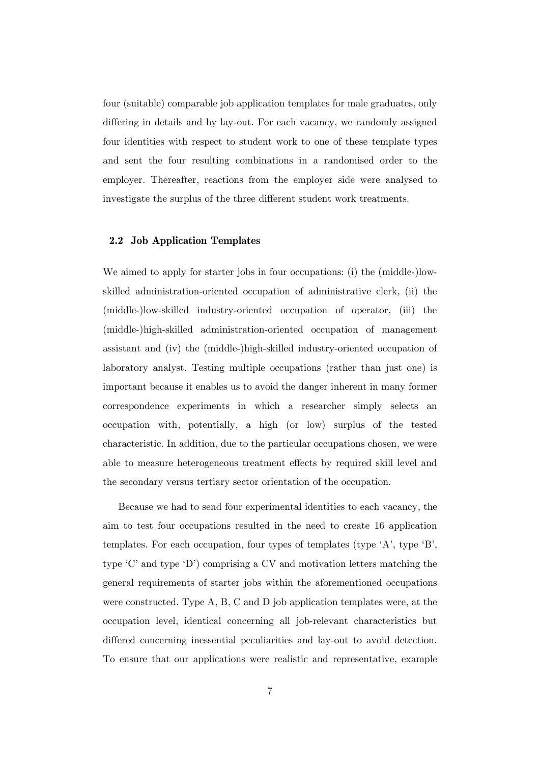four (suitable) comparable job application templates for male graduates, only differing in details and by lay-out. For each vacancy, we randomly assigned four identities with respect to student work to one of these template types and sent the four resulting combinations in a randomised order to the employer. Thereafter, reactions from the employer side were analysed to investigate the surplus of the three different student work treatments.

#### **2.2 Job Application Templates**

We aimed to apply for starter jobs in four occupations: (i) the (middle-)lowskilled administration-oriented occupation of administrative clerk, (ii) the (middle-)low-skilled industry-oriented occupation of operator, (iii) the (middle-)high-skilled administration-oriented occupation of management assistant and (iv) the (middle-)high-skilled industry-oriented occupation of laboratory analyst. Testing multiple occupations (rather than just one) is important because it enables us to avoid the danger inherent in many former correspondence experiments in which a researcher simply selects an occupation with, potentially, a high (or low) surplus of the tested characteristic. In addition, due to the particular occupations chosen, we were able to measure heterogeneous treatment effects by required skill level and the secondary versus tertiary sector orientation of the occupation.

Because we had to send four experimental identities to each vacancy, the aim to test four occupations resulted in the need to create 16 application templates. For each occupation, four types of templates (type  $A'$ , type  $B'$ , type 'C' and type 'D') comprising a CV and motivation letters matching the general requirements of starter jobs within the aforementioned occupations were constructed. Type A, B, C and D job application templates were, at the occupation level, identical concerning all job-relevant characteristics but differed concerning inessential peculiarities and lay-out to avoid detection. To ensure that our applications were realistic and representative, example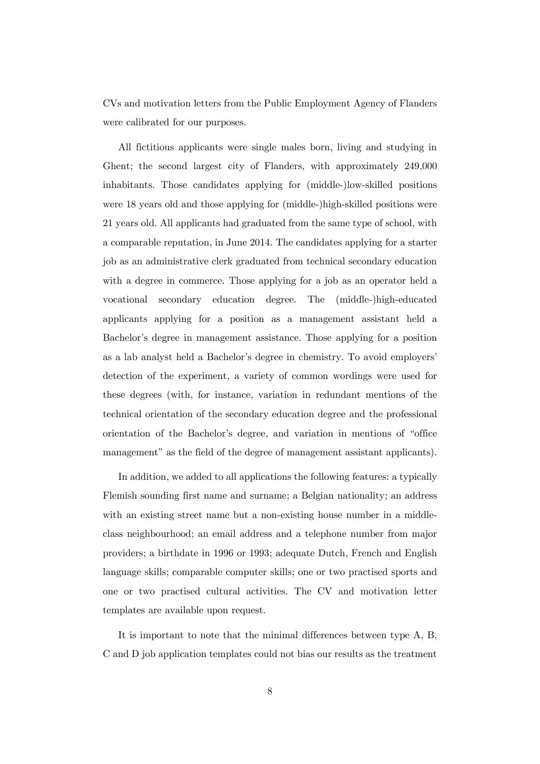CVs and motivation letters from the Public Employment Agency of Flanders were calibrated for our purposes.

All fictitious applicants were single males born, living and studying in Ghent; the second largest city of Flanders, with approximately 249,000 inhabitants. Those candidates applying for (middle-)low-skilled positions were 18 years old and those applying for (middle-)high-skilled positions were 21 years old. All applicants had graduated from the same type of school, with a comparable reputation, in June 2014. The candidates applying for a starter job as an administrative clerk graduated from technical secondary education with a degree in commerce. Those applying for a job as an operator held a vocational secondary education degree. The (middle-)high-educated applicants applying for a position as a management assistant held a Bachelor's degree in management assistance. Those applying for a position as a lab analyst held a Bachelor's degree in chemistry. To avoid employers' detection of the experiment, a variety of common wordings were used for these degrees (with, for instance, variation in redundant mentions of the technical orientation of the secondary education degree and the professional orientation of the Bachelor's degree, and variation in mentions of "office management" as the field of the degree of management assistant applicants).

In addition, we added to all applications the following features: a typically Flemish sounding first name and surname; a Belgian nationality; an address with an existing street name but a non-existing house number in a middleclass neighbourhood; an email address and a telephone number from major providers; a birthdate in 1996 or 1993; adequate Dutch, French and English language skills; comparable computer skills; one or two practised sports and one or two practised cultural activities. The CV and motivation letter templates are available upon request.

It is important to note that the minimal differences between type A, B, C and D job application templates could not bias our results as the treatment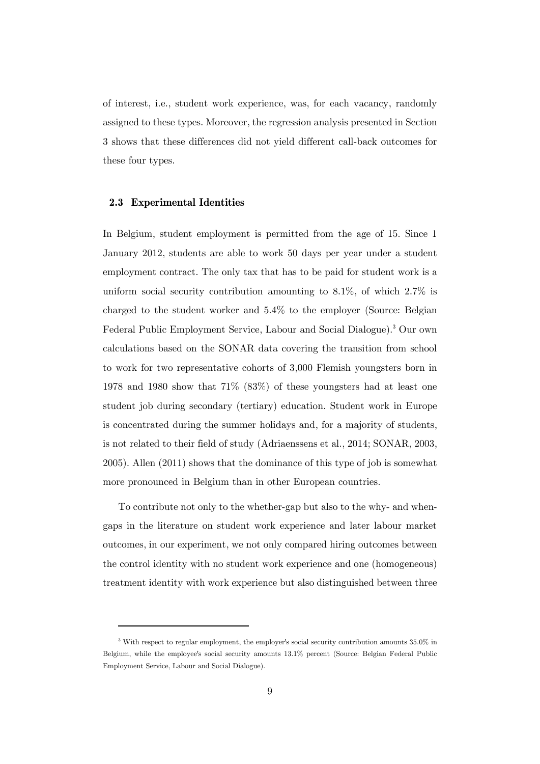of interest, i.e., student work experience, was, for each vacancy, randomly assigned to these types. Moreover, the regression analysis presented in Section 3 shows that these differences did not yield different call-back outcomes for these four types.

#### **2.3 Experimental Identities**

-

In Belgium, student employment is permitted from the age of 15. Since 1 January 2012, students are able to work 50 days per year under a student employment contract. The only tax that has to be paid for student work is a uniform social security contribution amounting to 8.1%, of which 2.7% is charged to the student worker and 5.4% to the employer (Source: Belgian Federal Public Employment Service, Labour and Social Dialogue).<sup>3</sup> Our own calculations based on the SONAR data covering the transition from school to work for two representative cohorts of 3,000 Flemish youngsters born in 1978 and 1980 show that 71% (83%) of these youngsters had at least one student job during secondary (tertiary) education. Student work in Europe is concentrated during the summer holidays and, for a majority of students, is not related to their field of study (Adriaenssens et al., 2014; SONAR, 2003, 2005). Allen (2011) shows that the dominance of this type of job is somewhat more pronounced in Belgium than in other European countries.

To contribute not only to the whether-gap but also to the why- and whengaps in the literature on student work experience and later labour market outcomes, in our experiment, we not only compared hiring outcomes between the control identity with no student work experience and one (homogeneous) treatment identity with work experience but also distinguished between three

<sup>&</sup>lt;sup>3</sup> With respect to regular employment, the employer's social security contribution amounts 35.0% in Belgium, while the employee's social security amounts 13.1% percent (Source: Belgian Federal Public Employment Service, Labour and Social Dialogue).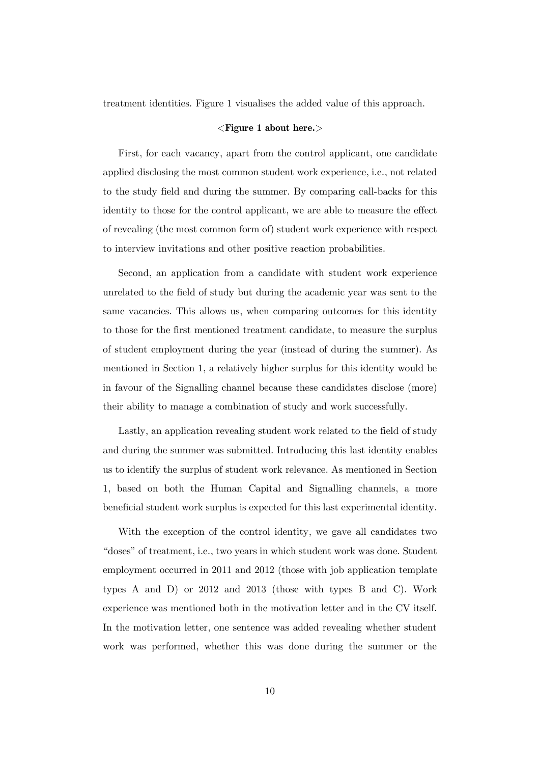treatment identities. Figure 1 visualises the added value of this approach.

#### **<Figure 1 about here.>**

First, for each vacancy, apart from the control applicant, one candidate applied disclosing the most common student work experience, i.e., not related to the study field and during the summer. By comparing call-backs for this identity to those for the control applicant, we are able to measure the effect of revealing (the most common form of) student work experience with respect to interview invitations and other positive reaction probabilities.

Second, an application from a candidate with student work experience unrelated to the field of study but during the academic year was sent to the same vacancies. This allows us, when comparing outcomes for this identity to those for the first mentioned treatment candidate, to measure the surplus of student employment during the year (instead of during the summer). As mentioned in Section 1, a relatively higher surplus for this identity would be in favour of the Signalling channel because these candidates disclose (more) their ability to manage a combination of study and work successfully.

Lastly, an application revealing student work related to the field of study and during the summer was submitted. Introducing this last identity enables us to identify the surplus of student work relevance. As mentioned in Section 1, based on both the Human Capital and Signalling channels, a more beneficial student work surplus is expected for this last experimental identity.

With the exception of the control identity, we gave all candidates two "doses" of treatment, i.e., two years in which student work was done. Student employment occurred in 2011 and 2012 (those with job application template types A and D) or 2012 and 2013 (those with types B and C). Work experience was mentioned both in the motivation letter and in the CV itself. In the motivation letter, one sentence was added revealing whether student work was performed, whether this was done during the summer or the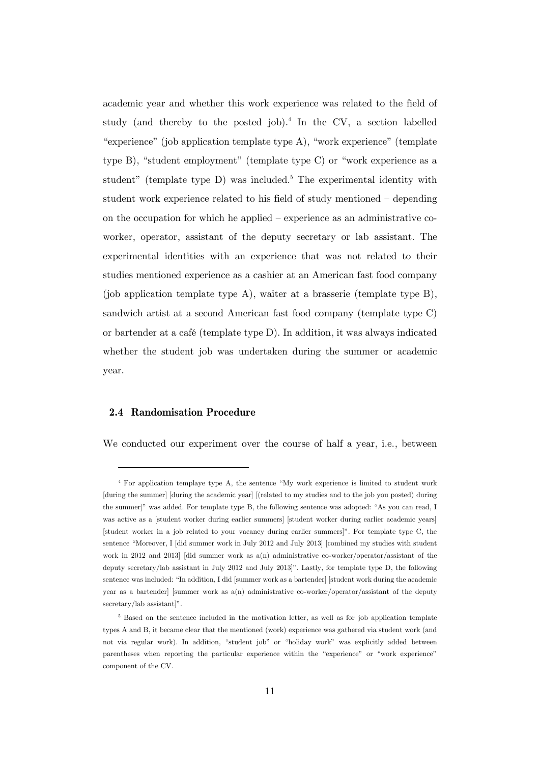academic year and whether this work experience was related to the field of study (and thereby to the posted job). $4 \text{ In the CV},$  a section labelled "experience" (job application template type A), "work experience" (template type B), "student employment" (template type C) or "work experience as a student" (template type  $D$ ) was included.<sup>5</sup> The experimental identity with student work experience related to his field of study mentioned – depending on the occupation for which he applied – experience as an administrative coworker, operator, assistant of the deputy secretary or lab assistant. The experimental identities with an experience that was not related to their studies mentioned experience as a cashier at an American fast food company (job application template type A), waiter at a brasserie (template type B), sandwich artist at a second American fast food company (template type C) or bartender at a café (template type D). In addition, it was always indicated whether the student job was undertaken during the summer or academic year.

#### **2.4 Randomisation Procedure**

-

We conducted our experiment over the course of half a year, i.e., between

<sup>4</sup> For application templaye type A, the sentence "My work experience is limited to student work [during the summer] [during the academic year] [(related to my studies and to the job you posted) during the summer]" was added. For template type B, the following sentence was adopted: "As you can read, I was active as a [student worker during earlier summers] [student worker during earlier academic years] [student worker in a job related to your vacancy during earlier summers]". For template type C, the sentence "Moreover, I [did summer work in July 2012 and July 2013] [combined my studies with student work in 2012 and 2013] [did summer work as a(n) administrative co-worker/operator/assistant of the deputy secretary/lab assistant in July 2012 and July 2013]". Lastly, for template type D, the following sentence was included: "In addition, I did [summer work as a bartender] [student work during the academic year as a bartender] [summer work as a(n) administrative co-worker/operator/assistant of the deputy secretary/lab assistant]".

<sup>&</sup>lt;sup>5</sup> Based on the sentence included in the motivation letter, as well as for job application template types A and B, it became clear that the mentioned (work) experience was gathered via student work (and not via regular work). In addition, "student job" or "holiday work" was explicitly added between parentheses when reporting the particular experience within the "experience" or "work experience" component of the CV.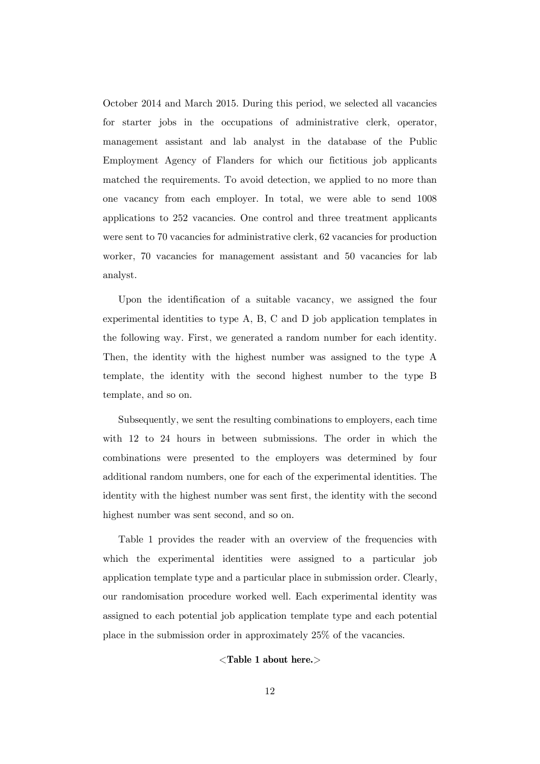October 2014 and March 2015. During this period, we selected all vacancies for starter jobs in the occupations of administrative clerk, operator, management assistant and lab analyst in the database of the Public Employment Agency of Flanders for which our fictitious job applicants matched the requirements. To avoid detection, we applied to no more than one vacancy from each employer. In total, we were able to send 1008 applications to 252 vacancies. One control and three treatment applicants were sent to 70 vacancies for administrative clerk, 62 vacancies for production worker, 70 vacancies for management assistant and 50 vacancies for lab analyst.

Upon the identification of a suitable vacancy, we assigned the four experimental identities to type A, B, C and D job application templates in the following way. First, we generated a random number for each identity. Then, the identity with the highest number was assigned to the type A template, the identity with the second highest number to the type B template, and so on.

Subsequently, we sent the resulting combinations to employers, each time with 12 to 24 hours in between submissions. The order in which the combinations were presented to the employers was determined by four additional random numbers, one for each of the experimental identities. The identity with the highest number was sent first, the identity with the second highest number was sent second, and so on.

Table 1 provides the reader with an overview of the frequencies with which the experimental identities were assigned to a particular job application template type and a particular place in submission order. Clearly, our randomisation procedure worked well. Each experimental identity was assigned to each potential job application template type and each potential place in the submission order in approximately 25% of the vacancies.

#### **<Table 1 about here.>**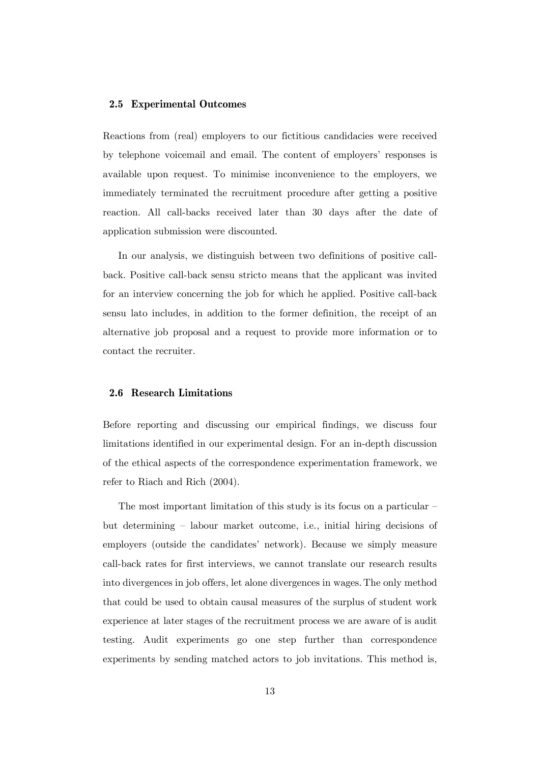#### **2.5 Experimental Outcomes**

Reactions from (real) employers to our fictitious candidacies were received by telephone voicemail and email. The content of employers' responses is available upon request. To minimise inconvenience to the employers, we immediately terminated the recruitment procedure after getting a positive reaction. All call-backs received later than 30 days after the date of application submission were discounted.

In our analysis, we distinguish between two definitions of positive callback. Positive call-back sensu stricto means that the applicant was invited for an interview concerning the job for which he applied. Positive call-back sensu lato includes, in addition to the former definition, the receipt of an alternative job proposal and a request to provide more information or to contact the recruiter.

#### **2.6 Research Limitations**

Before reporting and discussing our empirical findings, we discuss four limitations identified in our experimental design. For an in-depth discussion of the ethical aspects of the correspondence experimentation framework, we refer to Riach and Rich (2004).

The most important limitation of this study is its focus on a particular  $$ but determining – labour market outcome, i.e., initial hiring decisions of employers (outside the candidates' network). Because we simply measure call-back rates for first interviews, we cannot translate our research results into divergences in job offers, let alone divergences in wages. The only method that could be used to obtain causal measures of the surplus of student work experience at later stages of the recruitment process we are aware of is audit testing. Audit experiments go one step further than correspondence experiments by sending matched actors to job invitations. This method is,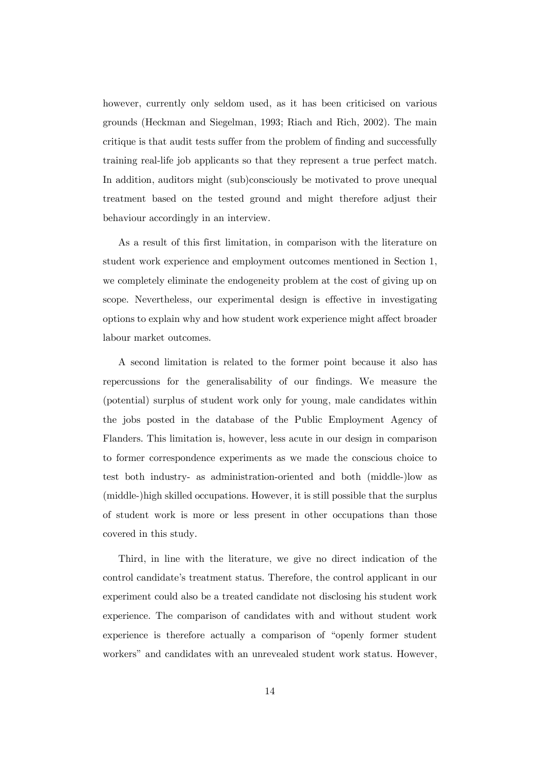however, currently only seldom used, as it has been criticised on various grounds (Heckman and Siegelman, 1993; Riach and Rich, 2002). The main critique is that audit tests suffer from the problem of finding and successfully training real-life job applicants so that they represent a true perfect match. In addition, auditors might (sub)consciously be motivated to prove unequal treatment based on the tested ground and might therefore adjust their behaviour accordingly in an interview.

As a result of this first limitation, in comparison with the literature on student work experience and employment outcomes mentioned in Section 1, we completely eliminate the endogeneity problem at the cost of giving up on scope. Nevertheless, our experimental design is effective in investigating options to explain why and how student work experience might affect broader labour market outcomes.

A second limitation is related to the former point because it also has repercussions for the generalisability of our findings. We measure the (potential) surplus of student work only for young, male candidates within the jobs posted in the database of the Public Employment Agency of Flanders. This limitation is, however, less acute in our design in comparison to former correspondence experiments as we made the conscious choice to test both industry- as administration-oriented and both (middle-)low as (middle-)high skilled occupations. However, it is still possible that the surplus of student work is more or less present in other occupations than those covered in this study.

Third, in line with the literature, we give no direct indication of the control candidate's treatment status. Therefore, the control applicant in our experiment could also be a treated candidate not disclosing his student work experience. The comparison of candidates with and without student work experience is therefore actually a comparison of "openly former student workers" and candidates with an unrevealed student work status. However,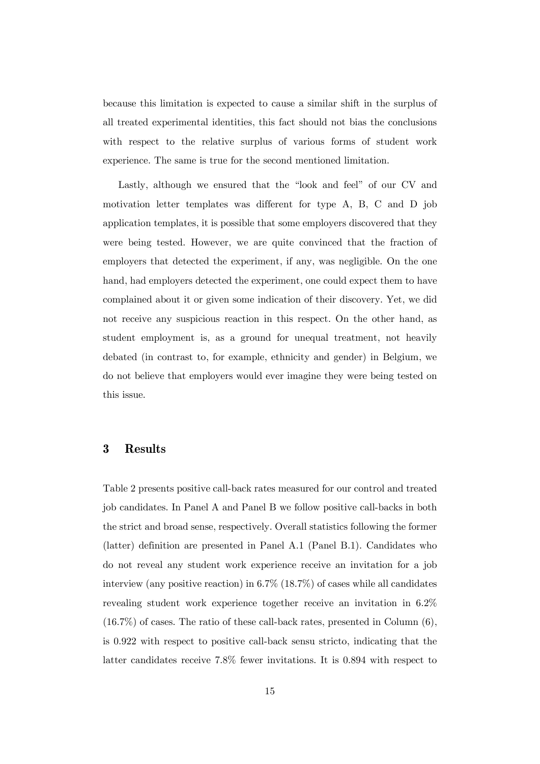because this limitation is expected to cause a similar shift in the surplus of all treated experimental identities, this fact should not bias the conclusions with respect to the relative surplus of various forms of student work experience. The same is true for the second mentioned limitation.

Lastly, although we ensured that the "look and feel" of our CV and motivation letter templates was different for type A, B, C and D job application templates, it is possible that some employers discovered that they were being tested. However, we are quite convinced that the fraction of employers that detected the experiment, if any, was negligible. On the one hand, had employers detected the experiment, one could expect them to have complained about it or given some indication of their discovery. Yet, we did not receive any suspicious reaction in this respect. On the other hand, as student employment is, as a ground for unequal treatment, not heavily debated (in contrast to, for example, ethnicity and gender) in Belgium, we do not believe that employers would ever imagine they were being tested on this issue.

#### **3 Results**

Table 2 presents positive call-back rates measured for our control and treated job candidates. In Panel A and Panel B we follow positive call-backs in both the strict and broad sense, respectively. Overall statistics following the former (latter) definition are presented in Panel A.1 (Panel B.1). Candidates who do not reveal any student work experience receive an invitation for a job interview (any positive reaction) in 6.7% (18.7%) of cases while all candidates revealing student work experience together receive an invitation in 6.2%  $(16.7\%)$  of cases. The ratio of these call-back rates, presented in Column  $(6)$ , is 0.922 with respect to positive call-back sensu stricto, indicating that the latter candidates receive 7.8% fewer invitations. It is 0.894 with respect to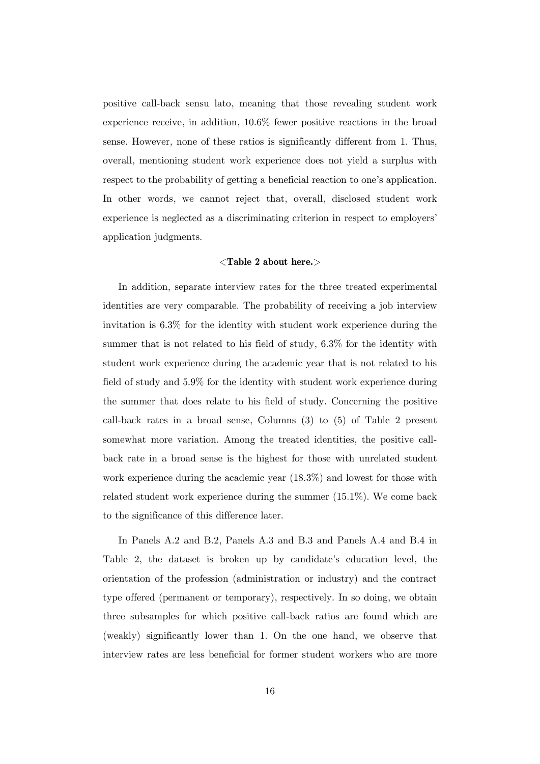positive call-back sensu lato, meaning that those revealing student work experience receive, in addition, 10.6% fewer positive reactions in the broad sense. However, none of these ratios is significantly different from 1. Thus, overall, mentioning student work experience does not yield a surplus with respect to the probability of getting a beneficial reaction to one's application. In other words, we cannot reject that, overall, disclosed student work experience is neglected as a discriminating criterion in respect to employers' application judgments.

#### **<Table 2 about here.>**

In addition, separate interview rates for the three treated experimental identities are very comparable. The probability of receiving a job interview invitation is 6.3% for the identity with student work experience during the summer that is not related to his field of study, 6.3% for the identity with student work experience during the academic year that is not related to his field of study and 5.9% for the identity with student work experience during the summer that does relate to his field of study. Concerning the positive call-back rates in a broad sense, Columns (3) to (5) of Table 2 present somewhat more variation. Among the treated identities, the positive callback rate in a broad sense is the highest for those with unrelated student work experience during the academic year (18.3%) and lowest for those with related student work experience during the summer (15.1%). We come back to the significance of this difference later.

In Panels A.2 and B.2, Panels A.3 and B.3 and Panels A.4 and B.4 in Table 2, the dataset is broken up by candidate's education level, the orientation of the profession (administration or industry) and the contract type offered (permanent or temporary), respectively. In so doing, we obtain three subsamples for which positive call-back ratios are found which are (weakly) significantly lower than 1. On the one hand, we observe that interview rates are less beneficial for former student workers who are more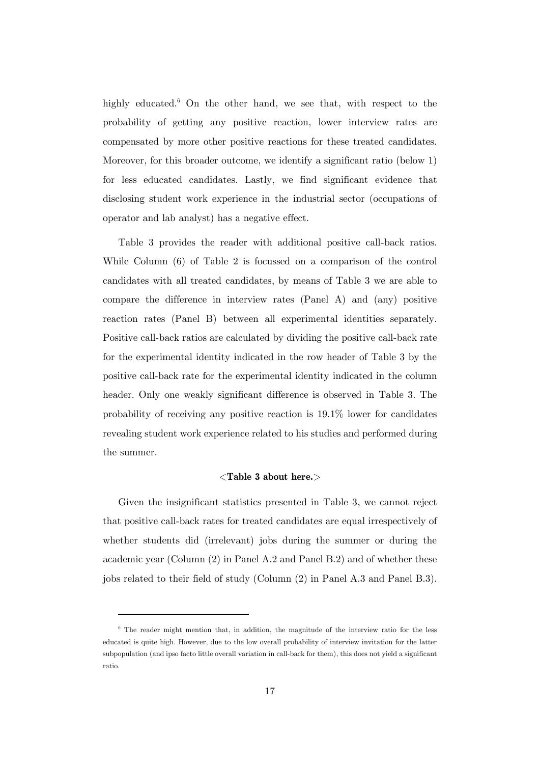highly educated.<sup>6</sup> On the other hand, we see that, with respect to the probability of getting any positive reaction, lower interview rates are compensated by more other positive reactions for these treated candidates. Moreover, for this broader outcome, we identify a significant ratio (below 1) for less educated candidates. Lastly, we find significant evidence that disclosing student work experience in the industrial sector (occupations of operator and lab analyst) has a negative effect.

Table 3 provides the reader with additional positive call-back ratios. While Column (6) of Table 2 is focussed on a comparison of the control candidates with all treated candidates, by means of Table 3 we are able to compare the difference in interview rates (Panel A) and (any) positive reaction rates (Panel B) between all experimental identities separately. Positive call-back ratios are calculated by dividing the positive call-back rate for the experimental identity indicated in the row header of Table 3 by the positive call-back rate for the experimental identity indicated in the column header. Only one weakly significant difference is observed in Table 3. The probability of receiving any positive reaction is 19.1% lower for candidates revealing student work experience related to his studies and performed during the summer.

#### **<Table 3 about here.>**

Given the insignificant statistics presented in Table 3, we cannot reject that positive call-back rates for treated candidates are equal irrespectively of whether students did (irrelevant) jobs during the summer or during the academic year (Column (2) in Panel A.2 and Panel B.2) and of whether these jobs related to their field of study (Column (2) in Panel A.3 and Panel B.3).

-

<sup>&</sup>lt;sup>6</sup> The reader might mention that, in addition, the magnitude of the interview ratio for the less educated is quite high. However, due to the low overall probability of interview invitation for the latter subpopulation (and ipso facto little overall variation in call-back for them), this does not yield a significant ratio.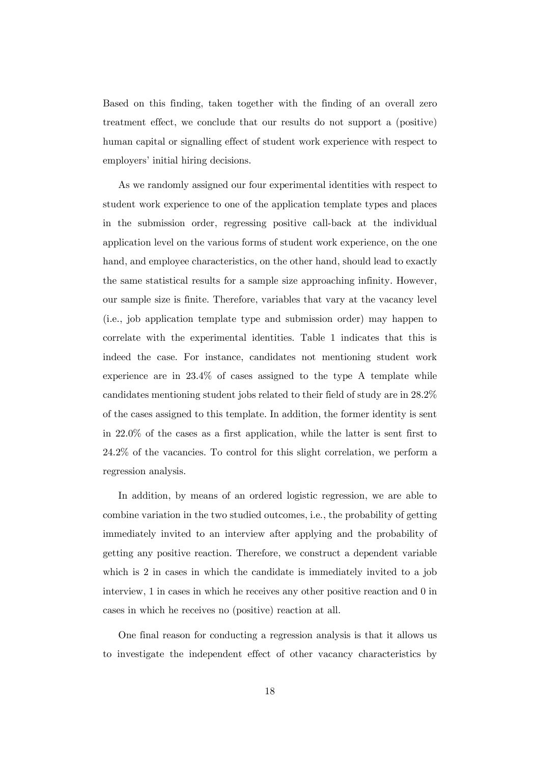Based on this finding, taken together with the finding of an overall zero treatment effect, we conclude that our results do not support a (positive) human capital or signalling effect of student work experience with respect to employers' initial hiring decisions.

As we randomly assigned our four experimental identities with respect to student work experience to one of the application template types and places in the submission order, regressing positive call-back at the individual application level on the various forms of student work experience, on the one hand, and employee characteristics, on the other hand, should lead to exactly the same statistical results for a sample size approaching infinity. However, our sample size is finite. Therefore, variables that vary at the vacancy level (i.e., job application template type and submission order) may happen to correlate with the experimental identities. Table 1 indicates that this is indeed the case. For instance, candidates not mentioning student work experience are in 23.4% of cases assigned to the type A template while candidates mentioning student jobs related to their field of study are in 28.2% of the cases assigned to this template. In addition, the former identity is sent in 22.0% of the cases as a first application, while the latter is sent first to 24.2% of the vacancies. To control for this slight correlation, we perform a regression analysis.

In addition, by means of an ordered logistic regression, we are able to combine variation in the two studied outcomes, i.e., the probability of getting immediately invited to an interview after applying and the probability of getting any positive reaction. Therefore, we construct a dependent variable which is 2 in cases in which the candidate is immediately invited to a job interview, 1 in cases in which he receives any other positive reaction and 0 in cases in which he receives no (positive) reaction at all.

One final reason for conducting a regression analysis is that it allows us to investigate the independent effect of other vacancy characteristics by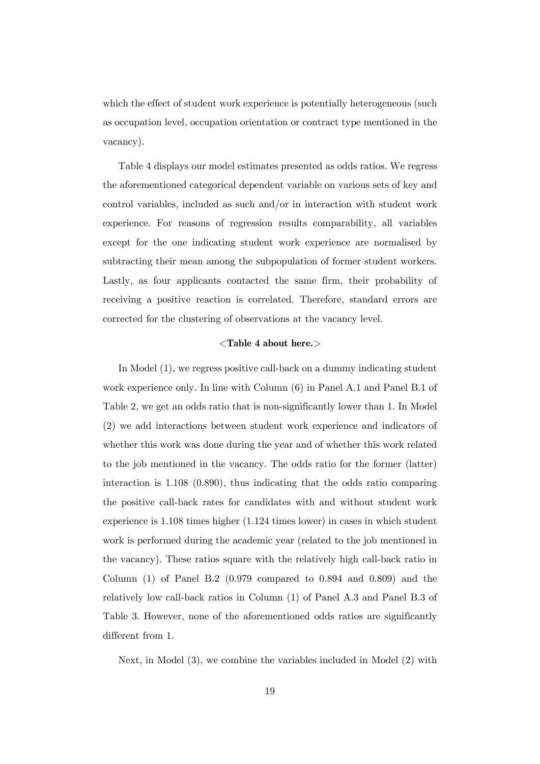which the effect of student work experience is potentially heterogeneous (such as occupation level, occupation orientation or contract type mentioned in the vacancy).

Table 4 displays our model estimates presented as odds ratios. We regress the aforementioned categorical dependent variable on various sets of key and control variables, included as such and/or in interaction with student work experience. For reasons of regression results comparability, all variables except for the one indicating student work experience are normalised by subtracting their mean among the subpopulation of former student workers. Lastly, as four applicants contacted the same firm, their probability of receiving a positive reaction is correlated. Therefore, standard errors are corrected for the clustering of observations at the vacancy level.

#### **<Table 4 about here.>**

In Model (1), we regress positive call-back on a dummy indicating student work experience only. In line with Column (6) in Panel A.1 and Panel B.1 of Table 2, we get an odds ratio that is non-significantly lower than 1. In Model (2) we add interactions between student work experience and indicators of whether this work was done during the year and of whether this work related to the job mentioned in the vacancy. The odds ratio for the former (latter) interaction is 1.108 (0.890), thus indicating that the odds ratio comparing the positive call-back rates for candidates with and without student work experience is 1.108 times higher (1.124 times lower) in cases in which student work is performed during the academic year (related to the job mentioned in the vacancy). These ratios square with the relatively high call-back ratio in Column  $(1)$  of Panel B.2  $(0.979$  compared to 0.894 and 0.809) and the relatively low call-back ratios in Column (1) of Panel A.3 and Panel B.3 of Table 3. However, none of the aforementioned odds ratios are significantly different from 1.

Next, in Model (3), we combine the variables included in Model (2) with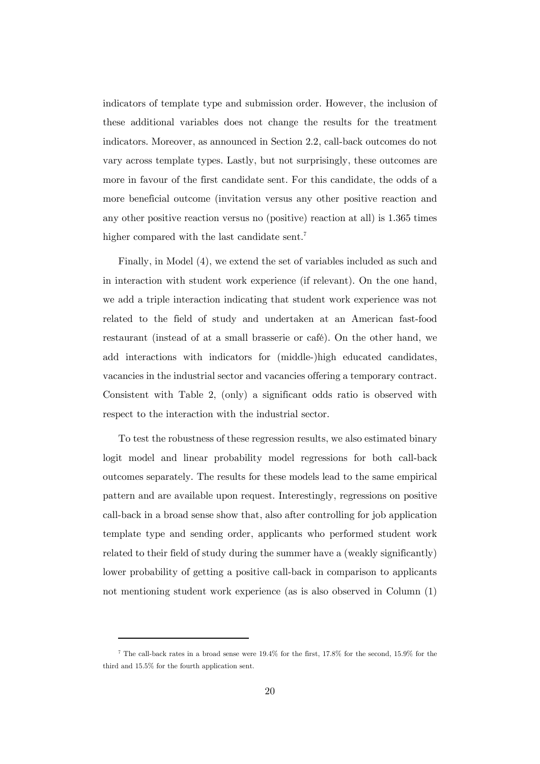indicators of template type and submission order. However, the inclusion of these additional variables does not change the results for the treatment indicators. Moreover, as announced in Section 2.2, call-back outcomes do not vary across template types. Lastly, but not surprisingly, these outcomes are more in favour of the first candidate sent. For this candidate, the odds of a more beneficial outcome (invitation versus any other positive reaction and any other positive reaction versus no (positive) reaction at all) is 1.365 times higher compared with the last candidate sent.<sup>7</sup>

Finally, in Model (4), we extend the set of variables included as such and in interaction with student work experience (if relevant). On the one hand, we add a triple interaction indicating that student work experience was not related to the field of study and undertaken at an American fast-food restaurant (instead of at a small brasserie or café). On the other hand, we add interactions with indicators for (middle-)high educated candidates, vacancies in the industrial sector and vacancies offering a temporary contract. Consistent with Table 2, (only) a significant odds ratio is observed with respect to the interaction with the industrial sector.

To test the robustness of these regression results, we also estimated binary logit model and linear probability model regressions for both call-back outcomes separately. The results for these models lead to the same empirical pattern and are available upon request. Interestingly, regressions on positive call-back in a broad sense show that, also after controlling for job application template type and sending order, applicants who performed student work related to their field of study during the summer have a (weakly significantly) lower probability of getting a positive call-back in comparison to applicants not mentioning student work experience (as is also observed in Column (1)

-

<sup>7</sup> The call-back rates in a broad sense were 19.4% for the first, 17.8% for the second, 15.9% for the third and 15.5% for the fourth application sent.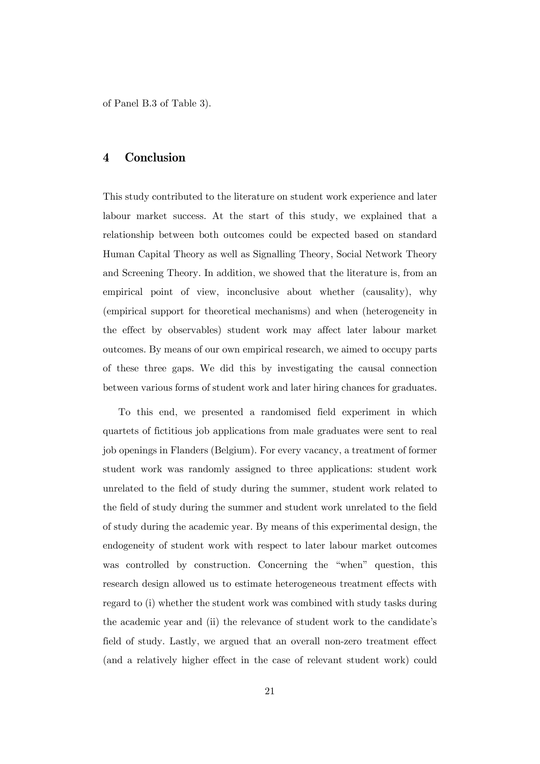of Panel B.3 of Table 3).

#### **4 Conclusion**

This study contributed to the literature on student work experience and later labour market success. At the start of this study, we explained that a relationship between both outcomes could be expected based on standard Human Capital Theory as well as Signalling Theory, Social Network Theory and Screening Theory. In addition, we showed that the literature is, from an empirical point of view, inconclusive about whether (causality), why (empirical support for theoretical mechanisms) and when (heterogeneity in the effect by observables) student work may affect later labour market outcomes. By means of our own empirical research, we aimed to occupy parts of these three gaps. We did this by investigating the causal connection between various forms of student work and later hiring chances for graduates.

To this end, we presented a randomised field experiment in which quartets of fictitious job applications from male graduates were sent to real job openings in Flanders (Belgium). For every vacancy, a treatment of former student work was randomly assigned to three applications: student work unrelated to the field of study during the summer, student work related to the field of study during the summer and student work unrelated to the field of study during the academic year. By means of this experimental design, the endogeneity of student work with respect to later labour market outcomes was controlled by construction. Concerning the "when" question, this research design allowed us to estimate heterogeneous treatment effects with regard to (i) whether the student work was combined with study tasks during the academic year and (ii) the relevance of student work to the candidate's field of study. Lastly, we argued that an overall non-zero treatment effect (and a relatively higher effect in the case of relevant student work) could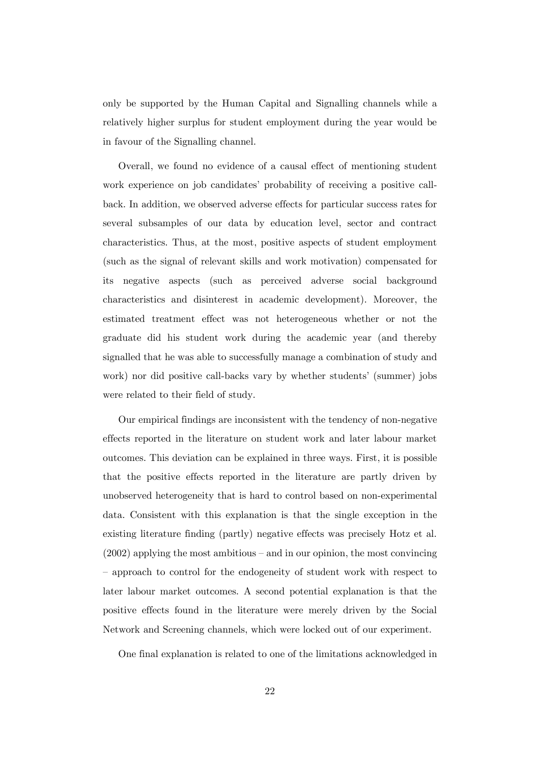only be supported by the Human Capital and Signalling channels while a relatively higher surplus for student employment during the year would be in favour of the Signalling channel.

Overall, we found no evidence of a causal effect of mentioning student work experience on job candidates' probability of receiving a positive callback. In addition, we observed adverse effects for particular success rates for several subsamples of our data by education level, sector and contract characteristics. Thus, at the most, positive aspects of student employment (such as the signal of relevant skills and work motivation) compensated for its negative aspects (such as perceived adverse social background characteristics and disinterest in academic development). Moreover, the estimated treatment effect was not heterogeneous whether or not the graduate did his student work during the academic year (and thereby signalled that he was able to successfully manage a combination of study and work) nor did positive call-backs vary by whether students' (summer) jobs were related to their field of study.

Our empirical findings are inconsistent with the tendency of non-negative effects reported in the literature on student work and later labour market outcomes. This deviation can be explained in three ways. First, it is possible that the positive effects reported in the literature are partly driven by unobserved heterogeneity that is hard to control based on non-experimental data. Consistent with this explanation is that the single exception in the existing literature finding (partly) negative effects was precisely Hotz et al. (2002) applying the most ambitious – and in our opinion, the most convincing – approach to control for the endogeneity of student work with respect to later labour market outcomes. A second potential explanation is that the positive effects found in the literature were merely driven by the Social Network and Screening channels, which were locked out of our experiment.

One final explanation is related to one of the limitations acknowledged in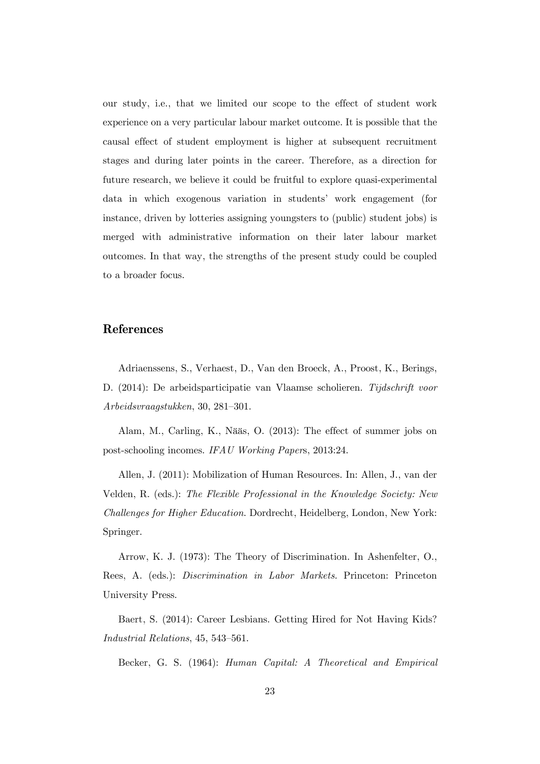our study, i.e., that we limited our scope to the effect of student work experience on a very particular labour market outcome. It is possible that the causal effect of student employment is higher at subsequent recruitment stages and during later points in the career. Therefore, as a direction for future research, we believe it could be fruitful to explore quasi-experimental data in which exogenous variation in students' work engagement (for instance, driven by lotteries assigning youngsters to (public) student jobs) is merged with administrative information on their later labour market outcomes. In that way, the strengths of the present study could be coupled to a broader focus.

#### **References**

Adriaenssens, S., Verhaest, D., Van den Broeck, A., Proost, K., Berings, D. (2014): De arbeidsparticipatie van Vlaamse scholieren. *Tijdschrift voor Arbeidsvraagstukken*, 30, 281–301.

Alam, M., Carling, K., Nääs, O. (2013): The effect of summer jobs on post-schooling incomes. *IFAU Working Paper*s, 2013:24.

Allen, J. (2011): Mobilization of Human Resources. In: Allen, J., van der Velden, R. (eds.): *The Flexible Professional in the Knowledge Society: New Challenges for Higher Education*. Dordrecht, Heidelberg, London, New York: Springer.

Arrow, K. J. (1973): The Theory of Discrimination. In Ashenfelter, O., Rees, A. (eds.): *Discrimination in Labor Markets*. Princeton: Princeton University Press.

Baert, S. (2014): Career Lesbians. Getting Hired for Not Having Kids? *Industrial Relations*, 45, 543–561.

Becker, G. S. (1964): *Human Capital: A Theoretical and Empirical*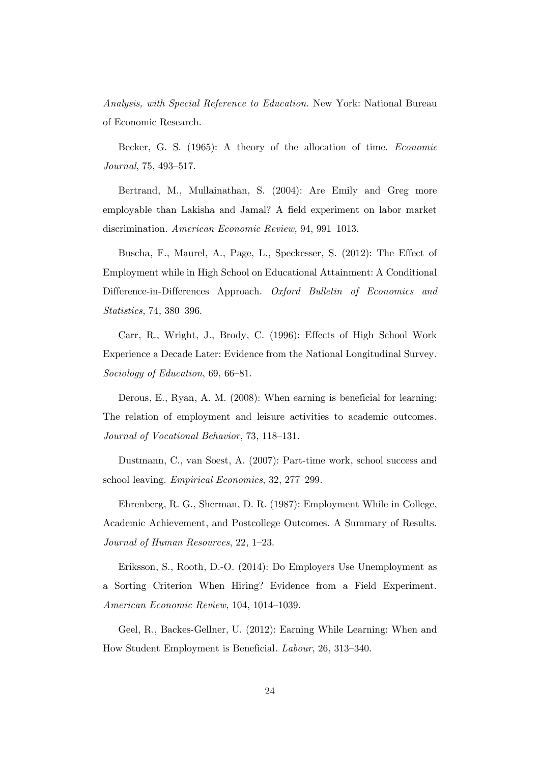*Analysis, with Special Reference to Education.* New York: National Bureau of Economic Research.

Becker, G. S. (1965): A theory of the allocation of time. *Economic Journal*, 75, 493–517.

Bertrand, M., Mullainathan, S. (2004): Are Emily and Greg more employable than Lakisha and Jamal? A field experiment on labor market discrimination. *American Economic Review*, 94, 991–1013.

Buscha, F., Maurel, A., Page, L., Speckesser, S. (2012): The Effect of Employment while in High School on Educational Attainment: A Conditional Difference-in-Differences Approach. *Oxford Bulletin of Economics and Statistics*, 74, 380–396.

Carr, R., Wright, J., Brody, C. (1996): Effects of High School Work Experience a Decade Later: Evidence from the National Longitudinal Survey*. Sociology of Education*, 69, 66–81.

Derous, E., Ryan, A. M. (2008): When earning is beneficial for learning: The relation of employment and leisure activities to academic outcomes*. Journal of Vocational Behavior*, 73, 118–131.

Dustmann, C., van Soest, A. (2007): Part-time work, school success and school leaving. *Empirical Economics*, 32, 277–299.

Ehrenberg, R. G., Sherman, D. R. (1987): Employment While in College, Academic Achievement, and Postcollege Outcomes. A Summary of Results. *Journal of Human Resources*, 22, 1–23.

Eriksson, S., Rooth, D.-O. (2014): Do Employers Use Unemployment as a Sorting Criterion When Hiring? Evidence from a Field Experiment. *American Economic Review*, 104, 1014–1039.

Geel, R., Backes-Gellner, U. (2012): Earning While Learning: When and How Student Employment is Beneficial*. Labour*, 26, 313–340.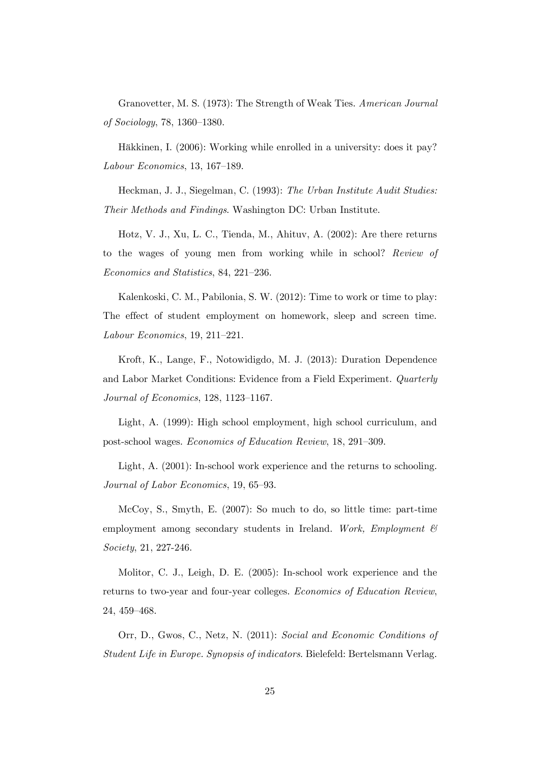Granovetter, M. S. (1973): The Strength of Weak Ties. *American Journal of Sociology*, 78, 1360–1380.

Häkkinen, I. (2006): Working while enrolled in a university: does it pay? *Labour Economics*, 13, 167–189.

Heckman, J. J., Siegelman, C. (1993): *The Urban Institute Audit Studies: Their Methods and Findings*. Washington DC: Urban Institute.

Hotz, V. J., Xu, L. C., Tienda, M., Ahituv, A. (2002): Are there returns to the wages of young men from working while in school? *Review of Economics and Statistics*, 84, 221–236.

Kalenkoski, C. M., Pabilonia, S. W. (2012): Time to work or time to play: The effect of student employment on homework, sleep and screen time. *Labour Economics*, 19, 211–221.

Kroft, K., Lange, F., Notowidigdo, M. J. (2013): Duration Dependence and Labor Market Conditions: Evidence from a Field Experiment. *Quarterly Journal of Economics*, 128, 1123–1167.

Light, A. (1999): High school employment, high school curriculum, and post-school wages. *Economics of Education Review*, 18, 291–309.

Light, A. (2001): In-school work experience and the returns to schooling. *Journal of Labor Economics*, 19, 65–93.

McCoy, S., Smyth, E. (2007): So much to do, so little time: part-time employment among secondary students in Ireland. *Work, Employment & Society*, 21, 227-246.

Molitor, C. J., Leigh, D. E. (2005): In-school work experience and the returns to two-year and four-year colleges. *Economics of Education Review*, 24, 459–468.

Orr, D., Gwos, C., Netz, N. (2011): *Social and Economic Conditions of Student Life in Europe. Synopsis of indicators*. Bielefeld: Bertelsmann Verlag.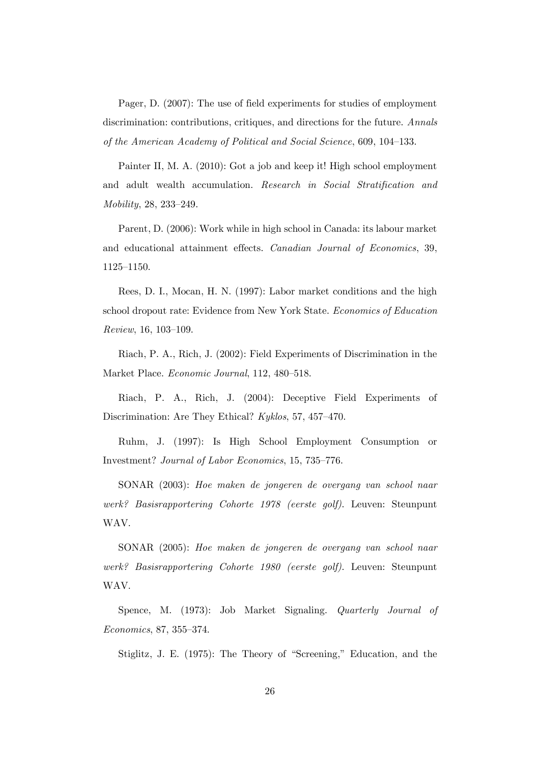Pager, D. (2007): The use of field experiments for studies of employment discrimination: contributions, critiques, and directions for the future. *Annals of the American Academy of Political and Social Science*, 609, 104–133.

Painter II, M. A. (2010): Got a job and keep it! High school employment and adult wealth accumulation. *Research in Social Stratification and Mobility*, 28, 233–249.

Parent, D. (2006): Work while in high school in Canada: its labour market and educational attainment effects. *Canadian Journal of Economics*, 39, 1125–1150.

Rees, D. I., Mocan, H. N. (1997): Labor market conditions and the high school dropout rate: Evidence from New York State. *Economics of Education Review*, 16, 103–109.

Riach, P. A., Rich, J. (2002): Field Experiments of Discrimination in the Market Place. *Economic Journal*, 112, 480–518.

Riach, P. A., Rich, J. (2004): Deceptive Field Experiments of Discrimination: Are They Ethical? *Kyklos*, 57, 457–470.

Ruhm, J. (1997): Is High School Employment Consumption or Investment? *Journal of Labor Economics*, 15, 735–776.

SONAR (2003): *Hoe maken de jongeren de overgang van school naar werk? Basisrapportering Cohorte 1978 (eerste golf)*. Leuven: Steunpunt WAV.

SONAR (2005): *Hoe maken de jongeren de overgang van school naar werk? Basisrapportering Cohorte 1980 (eerste golf)*. Leuven: Steunpunt WAV.

Spence, M. (1973): Job Market Signaling. *Quarterly Journal of Economics*, 87, 355–374.

Stiglitz, J. E. (1975): The Theory of "Screening," Education, and the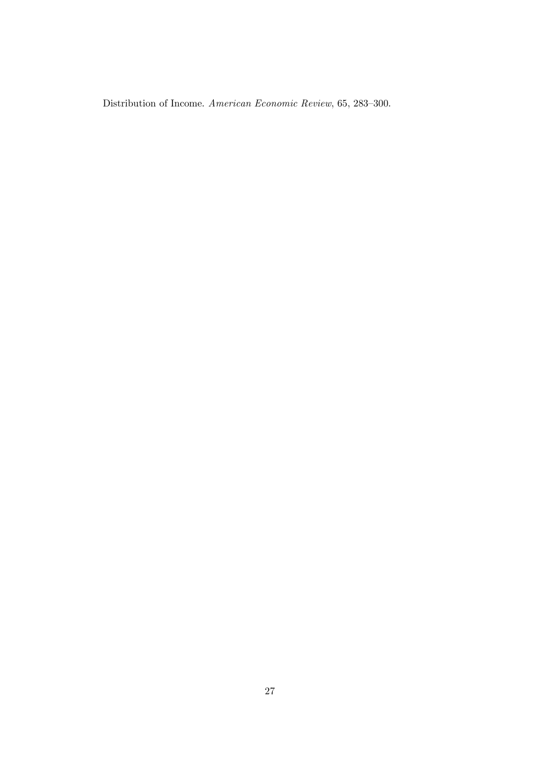Distribution of Income. *American Economic Review*, 65, 283–300.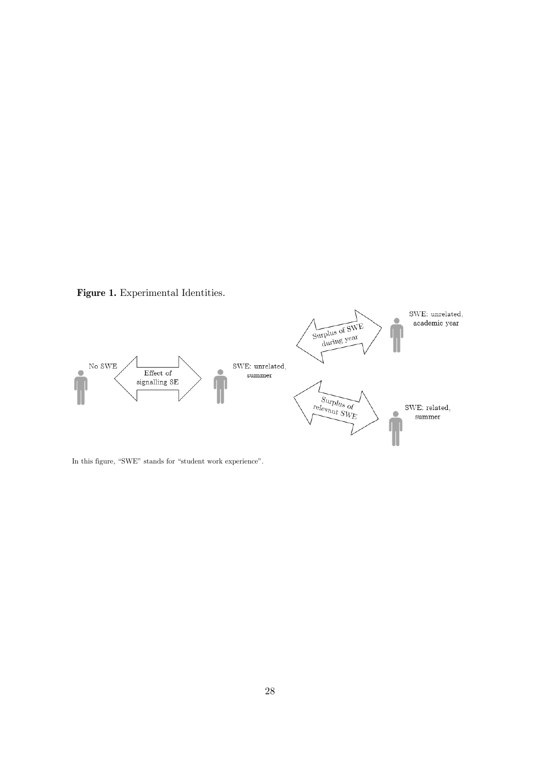Figure 1. Experimental Identities.



In this figure, "SWE" stands for "student work experience".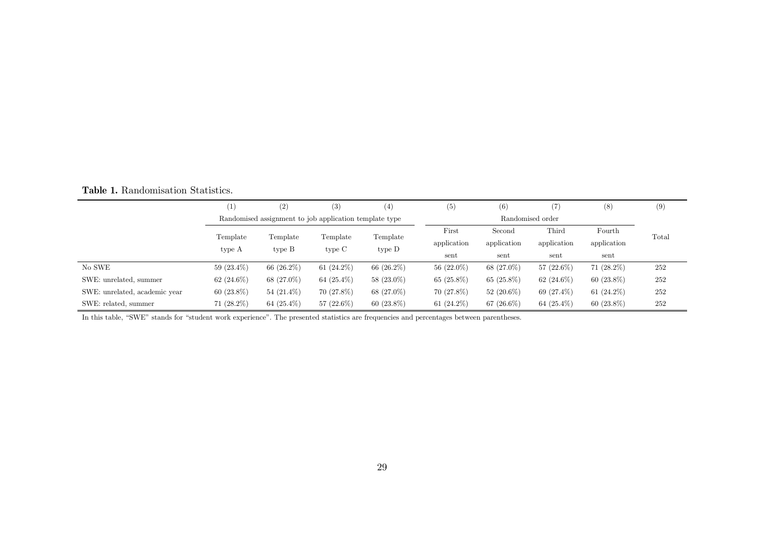|                               |                    | (2)                                                    | (3)                | (4)                | (5)              | (6)           | (7)           | (8)           | (9)   |
|-------------------------------|--------------------|--------------------------------------------------------|--------------------|--------------------|------------------|---------------|---------------|---------------|-------|
|                               |                    | Randomised assignment to job application template type |                    |                    | Randomised order |               |               |               |       |
|                               | Template<br>type A | Template<br>type B                                     | Template<br>type C | Template<br>type D | First            | Second        | Third         | Fourth        | Total |
|                               |                    |                                                        |                    |                    | application      | application   | application   | application   |       |
|                               |                    |                                                        |                    |                    | sent             | sent          | sent          | sent          |       |
| No SWE                        | 59 $(23.4\%)$      | 66 (26.2%)                                             | 61 $(24.2\%)$      | 66 (26.2%)         | 56 $(22.0\%)$    | 68 (27.0%)    | 57 $(22.6\%)$ | $71(28.2\%)$  | 252   |
| SWE: unrelated, summer        | 62 $(24.6\%)$      | 68 (27.0%)                                             | 64 $(25.4\%)$      | 58 (23.0%)         | $65(25.8\%)$     | 65 $(25.8\%)$ | 62 $(24.6\%)$ | $60(23.8\%)$  | 252   |
| SWE: unrelated, academic year | $60(23.8\%)$       | 54 (21.4%)                                             | $70(27.8\%)$       | 68 (27.0%)         | $70(27.8\%)$     | 52 $(20.6\%)$ | 69 (27.4%)    | 61 $(24.2\%)$ | 252   |
| SWE: related, summer          | $71(28.2\%)$       | 64 $(25.4\%)$                                          | 57 $(22.6\%)$      | $60(23.8\%)$       | 61 $(24.2\%)$    | 67 $(26.6\%)$ | 64 $(25.4\%)$ | $60(23.8\%)$  | 252   |

**Table 1.** Randomisation Statistics.

In this table, "SWE" stands for "student work experience". The presented statistics are frequencies and percentages between parentheses.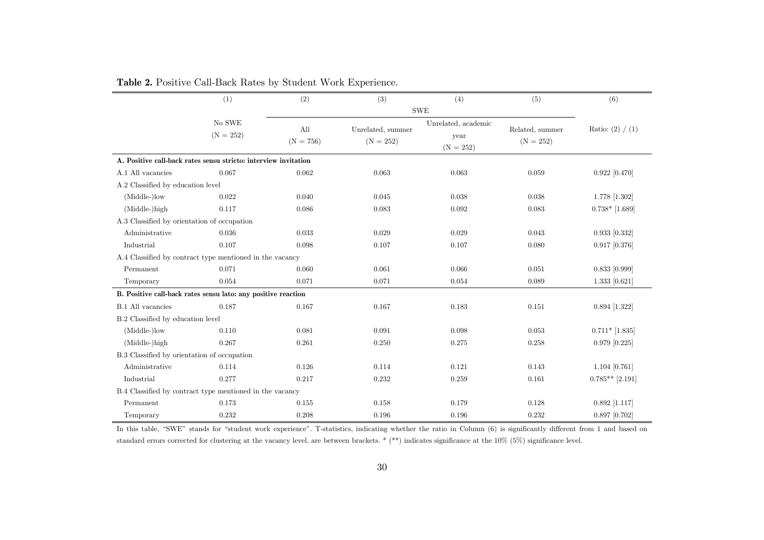|                                                                 | (1)                   | (2)                | (3)                              | (4)                                        | (5)                            | (6)                |  |
|-----------------------------------------------------------------|-----------------------|--------------------|----------------------------------|--------------------------------------------|--------------------------------|--------------------|--|
|                                                                 |                       | <b>SWE</b>         |                                  |                                            |                                |                    |  |
|                                                                 | No SWE<br>$(N = 252)$ | All<br>$(N = 756)$ | Unrelated, summer<br>$(N = 252)$ | Unrelated, academic<br>year<br>$(N = 252)$ | Related, summer<br>$(N = 252)$ | Ratio: $(2) / (1)$ |  |
| A. Positive call-back rates sensu stricto: interview invitation |                       |                    |                                  |                                            |                                |                    |  |
| A.1 All vacancies                                               | 0.067                 | 0.062              | 0.063                            | 0.063                                      | 0.059                          | $0.922$ [0.470]    |  |
| A.2 Classified by education level                               |                       |                    |                                  |                                            |                                |                    |  |
| (Middle-)low                                                    | 0.022                 | 0.040              | 0.045                            | 0.038                                      | 0.038                          | 1.778 [1.302]      |  |
| (Middle-)high                                                   | 0.117                 | 0.086              | 0.083                            | 0.092                                      | 0.083                          | $0.738*$ [1.689]   |  |
| A.3 Classified by orientation of occupation                     |                       |                    |                                  |                                            |                                |                    |  |
| Administrative                                                  | 0.036                 | 0.033              | 0.029                            | 0.029                                      | 0.043                          | $0.933$ [0.332]    |  |
| Industrial                                                      | 0.107                 | 0.098              | 0.107                            | 0.107                                      | 0.080                          | $0.917$ [0.376]    |  |
| A.4 Classified by contract type mentioned in the vacancy        |                       |                    |                                  |                                            |                                |                    |  |
| Permanent                                                       | 0.071                 | 0.060              | 0.061                            | 0.066                                      | 0.051                          | $0.833$ [0.999]    |  |
| Temporary                                                       | 0.054                 | 0.071              | 0.071                            | 0.054                                      | 0.089                          | 1.333 [0.621]      |  |
| B. Positive call-back rates sensu lato: any positive reaction   |                       |                    |                                  |                                            |                                |                    |  |
| <b>B.1</b> All vacancies                                        | 0.187                 | 0.167              | 0.167                            | 0.183                                      | 0.151                          | $0.894$ [1.322]    |  |
| B.2 Classified by education level                               |                       |                    |                                  |                                            |                                |                    |  |
| (Middle-)low                                                    | 0.110                 | 0.081              | 0.091                            | 0.098                                      | 0.053                          | $0.711*$ [1.835]   |  |
| (Middle-)high                                                   | 0.267                 | 0.261              | 0.250                            | 0.275                                      | 0.258                          | $0.979$ [0.225]    |  |
| B.3 Classified by orientation of occupation                     |                       |                    |                                  |                                            |                                |                    |  |
| Administrative                                                  | 0.114                 | 0.126              | 0.114                            | 0.121                                      | 0.143                          | $1.104$ [0.761]    |  |
| Industrial                                                      | 0.277                 | 0.217              | 0.232                            | 0.259                                      | 0.161                          | $0.785**$ [2.191]  |  |
| B.4 Classified by contract type mentioned in the vacancy        |                       |                    |                                  |                                            |                                |                    |  |
| Permanent                                                       | 0.173                 | 0.155              | 0.158                            | 0.179                                      | 0.128                          | $0.892$ [1.117]    |  |
| Temporary                                                       | 0.232                 | 0.208              | 0.196                            | 0.196                                      | 0.232                          | $0.897$ [0.702]    |  |

**Table 2.** Positive Call-Back Rates by Student Work Experience.

In this table, "SWE" stands for "student work experience". T-statistics, indicating whether the ratio in Column (6) is significantly different from 1 and based on standard errors corrected for clustering at the vacancy level, are between brackets. \* (\*\*) indicates significance at the 10% (5%) significance level.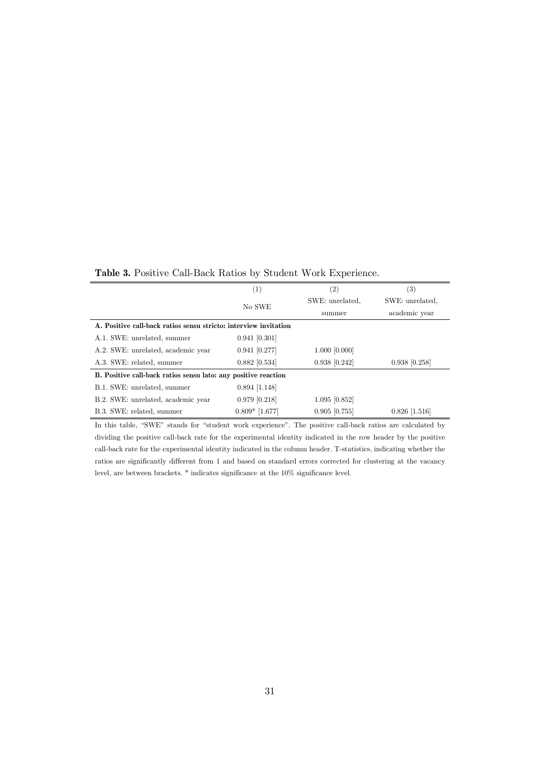|                                                                  | (1)              | $\left( 2\right)$ | $\left(3\right)$ |  |  |  |  |
|------------------------------------------------------------------|------------------|-------------------|------------------|--|--|--|--|
|                                                                  | No SWE           | SWE: unrelated.   | SWE: unrelated,  |  |  |  |  |
|                                                                  |                  | summer            | academic year    |  |  |  |  |
| A. Positive call-back ratios sensu stricto: interview invitation |                  |                   |                  |  |  |  |  |
| A.1. SWE: unrelated, summer                                      | $0.941$ [0.301]  |                   |                  |  |  |  |  |
| A.2. SWE: unrelated, academic year                               | $0.941$ [0.277]  | $1.000$ [0.000]   |                  |  |  |  |  |
| A.3. SWE: related, summer                                        | $0.882$ [0.534]  | $0.938$ [0.242]   | $0.938$ [0.258]  |  |  |  |  |
| B. Positive call-back ratios sensu lato: any positive reaction   |                  |                   |                  |  |  |  |  |
| B.1. SWE: unrelated, summer                                      | $0.894$ [1.148]  |                   |                  |  |  |  |  |
| B.2. SWE: unrelated, academic year                               | $0.979$ [0.218]  | $1.095$ [0.852]   |                  |  |  |  |  |
| B.3. SWE: related, summer                                        | $0.809*$ [1.677] | $0.905$ [0.755]   | $0.826$ [1.516]  |  |  |  |  |

**Table 3.** Positive Call-Back Ratios by Student Work Experience.

In this table, "SWE" stands for "student work experience". The positive call-back ratios are calculated by dividing the positive call-back rate for the experimental identity indicated in the row header by the positive call-back rate for the experimental identity indicated in the column header. T-statistics, indicating whether the ratios are significantly different from 1 and based on standard errors corrected for clustering at the vacancy level, are between brackets. \* indicates significance at the 10% significance level.